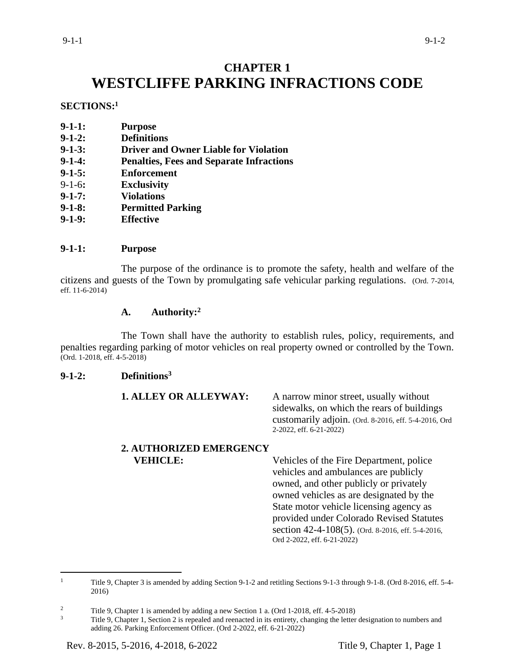# **CHAPTER 1 WESTCLIFFE PARKING INFRACTIONS CODE**

### **SECTIONS:<sup>1</sup>**

- **9-1-2: Definitions**
- **9-1-3: Driver and Owner Liable for Violation**
- **9-1-4: Penalties, Fees and Separate Infractions**
- **9-1-5: Enforcement**
- 9-1-6**: Exclusivity**
- **9-1-7: Violations**
- **9-1-8: Permitted Parking**
- **9-1-9: Effective**

### **9-1-1: Purpose**

The purpose of the ordinance is to promote the safety, health and welfare of the citizens and guests of the Town by promulgating safe vehicular parking regulations. (Ord. 7-2014, eff. 11-6-2014)

# **A. Authority:<sup>2</sup>**

The Town shall have the authority to establish rules, policy, requirements, and penalties regarding parking of motor vehicles on real property owned or controlled by the Town. (Ord. 1-2018, eff. 4-5-2018)

## **9-1-2: Definitions<sup>3</sup>**

| <b>1. ALLEY OR ALLEYWAY:</b>   | A narrow minor street, usually without<br>sidewalks, on which the rears of buildings<br>customarily adjoin. (Ord. 8-2016, eff. 5-4-2016, Ord<br>2-2022, eff. 6-21-2022)                                                                                                                                                                         |
|--------------------------------|-------------------------------------------------------------------------------------------------------------------------------------------------------------------------------------------------------------------------------------------------------------------------------------------------------------------------------------------------|
| <b>2. AUTHORIZED EMERGENCY</b> |                                                                                                                                                                                                                                                                                                                                                 |
| <b>VEHICLE:</b>                | Vehicles of the Fire Department, police<br>vehicles and ambulances are publicly<br>owned, and other publicly or privately<br>owned vehicles as are designated by the<br>State motor vehicle licensing agency as<br>provided under Colorado Revised Statutes<br>section 42-4-108(5). (Ord. 8-2016, eff. 5-4-2016,<br>Ord 2-2022, eff. 6-21-2022) |

<sup>&</sup>lt;sup>1</sup> Title 9, Chapter 3 is amended by adding Section 9-1-2 and retitling Sections 9-1-3 through 9-1-8. (Ord 8-2016, eff. 5-4-2016)

<sup>&</sup>lt;sup>2</sup> Title 9, Chapter 1 is amended by adding a new Section 1 a. (Ord 1-2018, eff. 4-5-2018)

Title 9, Chapter 1, Section 2 is repealed and reenacted in its entirety, changing the letter designation to numbers and adding 26. Parking Enforcement Officer. (Ord 2-2022, eff. 6-21-2022)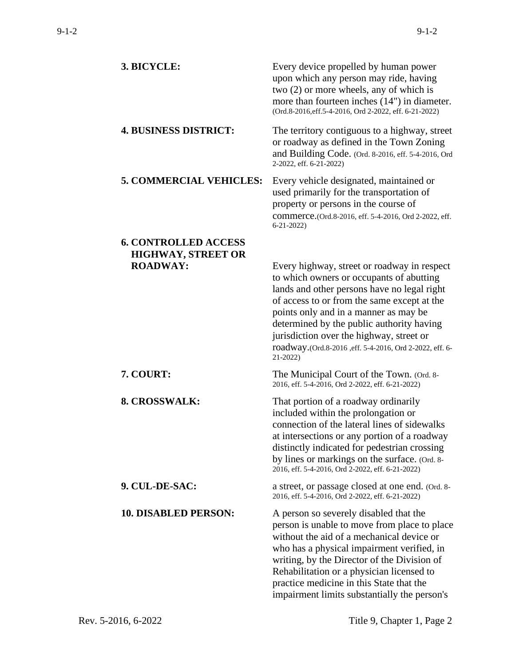| 3. BICYCLE:                    | Every device propelled by human power<br>upon which any person may ride, having<br>two (2) or more wheels, any of which is<br>more than fourteen inches (14") in diameter.<br>(Ord.8-2016, eff.5-4-2016, Ord 2-2022, eff. 6-21-2022)                                                                                                                                                            |
|--------------------------------|-------------------------------------------------------------------------------------------------------------------------------------------------------------------------------------------------------------------------------------------------------------------------------------------------------------------------------------------------------------------------------------------------|
| <b>4. BUSINESS DISTRICT:</b>   | The territory contiguous to a highway, street<br>or roadway as defined in the Town Zoning<br>and Building Code. (Ord. 8-2016, eff. 5-4-2016, Ord<br>2-2022, eff. 6-21-2022)                                                                                                                                                                                                                     |
| <b>5. COMMERCIAL VEHICLES:</b> | Every vehicle designated, maintained or<br>used primarily for the transportation of<br>property or persons in the course of<br>commerce.(Ord.8-2016, eff. 5-4-2016, Ord 2-2022, eff.<br>$6 - 21 - 2022$                                                                                                                                                                                         |
| <b>6. CONTROLLED ACCESS</b>    |                                                                                                                                                                                                                                                                                                                                                                                                 |
| <b>HIGHWAY, STREET OR</b>      |                                                                                                                                                                                                                                                                                                                                                                                                 |
| <b>ROADWAY:</b>                | Every highway, street or roadway in respect<br>to which owners or occupants of abutting<br>lands and other persons have no legal right<br>of access to or from the same except at the<br>points only and in a manner as may be<br>determined by the public authority having<br>jurisdiction over the highway, street or<br>roadway.(Ord.8-2016, eff. 5-4-2016, Ord 2-2022, eff. 6-<br>$21-2022$ |
| 7. COURT:                      | The Municipal Court of the Town. (Ord. 8-<br>2016, eff. 5-4-2016, Ord 2-2022, eff. 6-21-2022)                                                                                                                                                                                                                                                                                                   |
| 8. CROSSWALK:                  | That portion of a roadway ordinarily<br>included within the prolongation or<br>connection of the lateral lines of sidewalks<br>at intersections or any portion of a roadway<br>distinctly indicated for pedestrian crossing<br>by lines or markings on the surface. (Ord. 8-<br>2016, eff. 5-4-2016, Ord 2-2022, eff. 6-21-2022)                                                                |
| 9. CUL-DE-SAC:                 | a street, or passage closed at one end. (Ord. 8-<br>2016, eff. 5-4-2016, Ord 2-2022, eff. 6-21-2022)                                                                                                                                                                                                                                                                                            |
| <b>10. DISABLED PERSON:</b>    | A person so severely disabled that the<br>person is unable to move from place to place<br>without the aid of a mechanical device or<br>who has a physical impairment verified, in<br>writing, by the Director of the Division of<br>Rehabilitation or a physician licensed to<br>practice medicine in this State that the<br>impairment limits substantially the person's                       |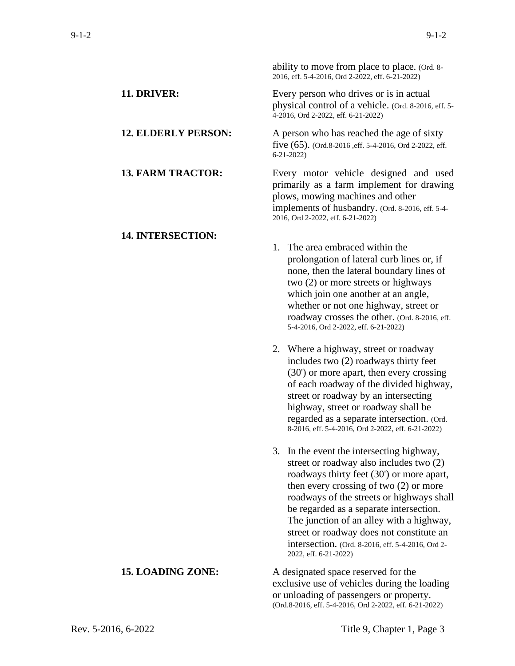ability to move from place to place. (Ord. 8-

|                            | 2016, eff. 5-4-2016, Ord 2-2022, eff. 6-21-2022)                                                                                                                                                                                                                                                                                                                                                                                            |
|----------------------------|---------------------------------------------------------------------------------------------------------------------------------------------------------------------------------------------------------------------------------------------------------------------------------------------------------------------------------------------------------------------------------------------------------------------------------------------|
| 11. DRIVER:                | Every person who drives or is in actual<br>physical control of a vehicle. (Ord. 8-2016, eff. 5-<br>4-2016, Ord 2-2022, eff. 6-21-2022)                                                                                                                                                                                                                                                                                                      |
| <b>12. ELDERLY PERSON:</b> | A person who has reached the age of sixty<br>five $(65)$ . (Ord.8-2016, eff. 5-4-2016, Ord 2-2022, eff.<br>$6 - 21 - 2022$                                                                                                                                                                                                                                                                                                                  |
| <b>13. FARM TRACTOR:</b>   | Every motor vehicle designed and used<br>primarily as a farm implement for drawing<br>plows, mowing machines and other<br>implements of husbandry. (Ord. 8-2016, eff. 5-4-<br>2016, Ord 2-2022, eff. 6-21-2022)                                                                                                                                                                                                                             |
| <b>14. INTERSECTION:</b>   | 1. The area embraced within the<br>prolongation of lateral curb lines or, if<br>none, then the lateral boundary lines of<br>two (2) or more streets or highways<br>which join one another at an angle,<br>whether or not one highway, street or<br>roadway crosses the other. (Ord. 8-2016, eff.<br>5-4-2016, Ord 2-2022, eff. 6-21-2022)                                                                                                   |
|                            | 2. Where a highway, street or roadway<br>includes two (2) roadways thirty feet<br>(30') or more apart, then every crossing<br>of each roadway of the divided highway,<br>street or roadway by an intersecting<br>highway, street or roadway shall be<br>regarded as a separate intersection. (Ord.<br>8-2016, eff. 5-4-2016, Ord 2-2022, eff. 6-21-2022)                                                                                    |
|                            | 3. In the event the intersecting highway,<br>street or roadway also includes two (2)<br>roadways thirty feet (30') or more apart,<br>then every crossing of two $(2)$ or more<br>roadways of the streets or highways shall<br>be regarded as a separate intersection.<br>The junction of an alley with a highway,<br>street or roadway does not constitute an<br>intersection. (Ord. 8-2016, eff. 5-4-2016, Ord 2-<br>2022, eff. 6-21-2022) |
| <b>15. LOADING ZONE:</b>   | A designated space reserved for the<br>exclusive use of vehicles during the loading<br>or unloading of passengers or property.<br>(Ord.8-2016, eff. 5-4-2016, Ord 2-2022, eff. 6-21-2022)                                                                                                                                                                                                                                                   |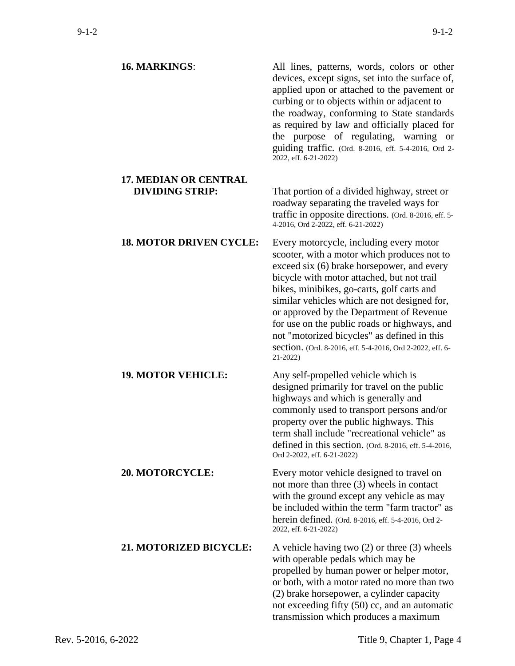| <b>16. MARKINGS:</b>                                   | All lines, patterns, words, colors or other<br>devices, except signs, set into the surface of,<br>applied upon or attached to the pavement or<br>curbing or to objects within or adjacent to<br>the roadway, conforming to State standards<br>as required by law and officially placed for<br>the purpose of regulating, warning or<br>guiding traffic. (Ord. 8-2016, eff. 5-4-2016, Ord 2-<br>2022, eff. 6-21-2022)                                                                                 |
|--------------------------------------------------------|------------------------------------------------------------------------------------------------------------------------------------------------------------------------------------------------------------------------------------------------------------------------------------------------------------------------------------------------------------------------------------------------------------------------------------------------------------------------------------------------------|
| <b>17. MEDIAN OR CENTRAL</b><br><b>DIVIDING STRIP:</b> | That portion of a divided highway, street or<br>roadway separating the traveled ways for<br>traffic in opposite directions. (Ord. 8-2016, eff. 5-<br>4-2016, Ord 2-2022, eff. 6-21-2022)                                                                                                                                                                                                                                                                                                             |
| <b>18. MOTOR DRIVEN CYCLE:</b>                         | Every motorcycle, including every motor<br>scooter, with a motor which produces not to<br>exceed six (6) brake horsepower, and every<br>bicycle with motor attached, but not trail<br>bikes, minibikes, go-carts, golf carts and<br>similar vehicles which are not designed for,<br>or approved by the Department of Revenue<br>for use on the public roads or highways, and<br>not "motorized bicycles" as defined in this<br>section. (Ord. 8-2016, eff. 5-4-2016, Ord 2-2022, eff. 6-<br>21-2022) |
| <b>19. MOTOR VEHICLE:</b>                              | Any self-propelled vehicle which is<br>designed primarily for travel on the public<br>highways and which is generally and<br>commonly used to transport persons and/or<br>property over the public highways. This<br>term shall include "recreational vehicle" as<br>defined in this section. (Ord. 8-2016, eff. 5-4-2016,<br>Ord 2-2022, eff. 6-21-2022)                                                                                                                                            |
| <b>20. MOTORCYCLE:</b>                                 | Every motor vehicle designed to travel on<br>not more than three (3) wheels in contact<br>with the ground except any vehicle as may<br>be included within the term "farm tractor" as<br>herein defined. (Ord. 8-2016, eff. 5-4-2016, Ord 2-<br>2022, eff. 6-21-2022)                                                                                                                                                                                                                                 |
| <b>21. MOTORIZED BICYCLE:</b>                          | A vehicle having two $(2)$ or three $(3)$ wheels<br>with operable pedals which may be<br>propelled by human power or helper motor,<br>or both, with a motor rated no more than two<br>(2) brake horsepower, a cylinder capacity<br>not exceeding fifty (50) cc, and an automatic<br>transmission which produces a maximum                                                                                                                                                                            |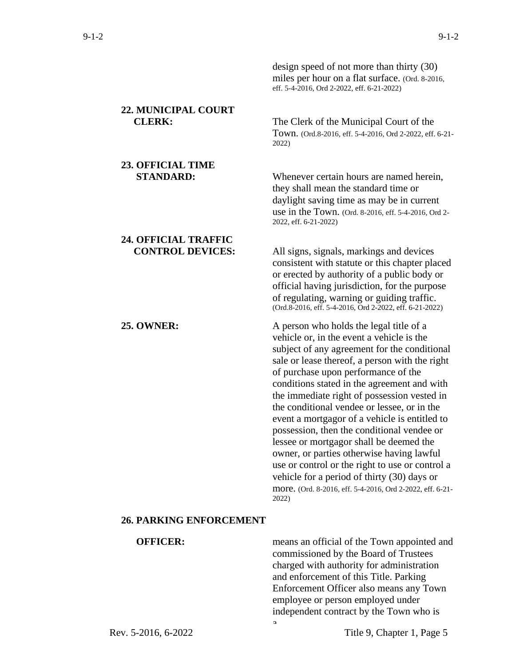**22.** 

**23.** 

**24.** 

|                                                        | design speed of not more than thirty (30)<br>miles per hour on a flat surface. (Ord. 8-2016,<br>eff. 5-4-2016, Ord 2-2022, eff. 6-21-2022)                                                                                                                                                                                                                                                                                                                                                                                                                                                                                                                                                                                                |
|--------------------------------------------------------|-------------------------------------------------------------------------------------------------------------------------------------------------------------------------------------------------------------------------------------------------------------------------------------------------------------------------------------------------------------------------------------------------------------------------------------------------------------------------------------------------------------------------------------------------------------------------------------------------------------------------------------------------------------------------------------------------------------------------------------------|
| 22. MUNICIPAL COURT<br><b>CLERK:</b>                   | The Clerk of the Municipal Court of the<br>Town. (Ord.8-2016, eff. 5-4-2016, Ord 2-2022, eff. 6-21-<br>2022)                                                                                                                                                                                                                                                                                                                                                                                                                                                                                                                                                                                                                              |
| <b>23. OFFICIAL TIME</b><br><b>STANDARD:</b>           | Whenever certain hours are named herein,<br>they shall mean the standard time or<br>daylight saving time as may be in current<br>use in the Town. (Ord. 8-2016, eff. 5-4-2016, Ord 2-<br>2022, eff. 6-21-2022)                                                                                                                                                                                                                                                                                                                                                                                                                                                                                                                            |
| <b>24. OFFICIAL TRAFFIC</b><br><b>CONTROL DEVICES:</b> | All signs, signals, markings and devices<br>consistent with statute or this chapter placed<br>or erected by authority of a public body or<br>official having jurisdiction, for the purpose<br>of regulating, warning or guiding traffic.<br>(Ord.8-2016, eff. 5-4-2016, Ord 2-2022, eff. 6-21-2022)                                                                                                                                                                                                                                                                                                                                                                                                                                       |
| <b>25. OWNER:</b>                                      | A person who holds the legal title of a<br>vehicle or, in the event a vehicle is the<br>subject of any agreement for the conditional<br>sale or lease thereof, a person with the right<br>of purchase upon performance of the<br>conditions stated in the agreement and with<br>the immediate right of possession vested in<br>the conditional vendee or lessee, or in the<br>event a mortgagor of a vehicle is entitled to<br>possession, then the conditional vendee or<br>lessee or mortgagor shall be deemed the<br>owner, or parties otherwise having lawful<br>use or control or the right to use or control a<br>vehicle for a period of thirty (30) days or<br>more. (Ord. 8-2016, eff. 5-4-2016, Ord 2-2022, eff. 6-21-<br>2022) |
| <b>26. PARKING ENFORCEMENT</b>                         |                                                                                                                                                                                                                                                                                                                                                                                                                                                                                                                                                                                                                                                                                                                                           |
| <b>OFFICER:</b>                                        | means an official of the Town appointed and                                                                                                                                                                                                                                                                                                                                                                                                                                                                                                                                                                                                                                                                                               |

commissioned by the Board of Trustees charged with authority for administration and enforcement of this Title. Parking Enforcement Officer also means any Town employee or person employed under independent contract by the Town who is a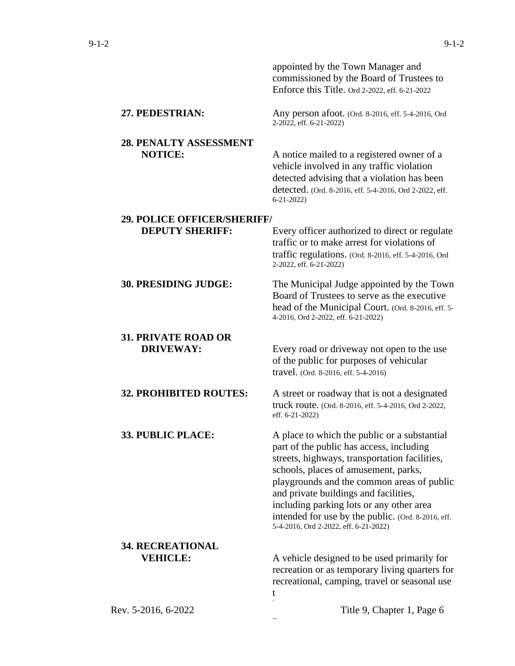|                                    | appointed by the Town Manager and<br>commissioned by the Board of Trustees to<br>Enforce this Title. Ord 2-2022, eff. 6-21-2022                                                                                                                                                                                                                                                                                     |
|------------------------------------|---------------------------------------------------------------------------------------------------------------------------------------------------------------------------------------------------------------------------------------------------------------------------------------------------------------------------------------------------------------------------------------------------------------------|
| 27. PEDESTRIAN:                    | Any person afoot. (Ord. 8-2016, eff. 5-4-2016, Ord<br>2-2022, eff. 6-21-2022)                                                                                                                                                                                                                                                                                                                                       |
| 28. PENALTY ASSESSMENT             |                                                                                                                                                                                                                                                                                                                                                                                                                     |
| <b>NOTICE:</b>                     | A notice mailed to a registered owner of a<br>vehicle involved in any traffic violation<br>detected advising that a violation has been<br>detected. (Ord. 8-2016, eff. 5-4-2016, Ord 2-2022, eff.<br>$6 - 21 - 2022$                                                                                                                                                                                                |
| <b>29. POLICE OFFICER/SHERIFF/</b> |                                                                                                                                                                                                                                                                                                                                                                                                                     |
| <b>DEPUTY SHERIFF:</b>             | Every officer authorized to direct or regulate                                                                                                                                                                                                                                                                                                                                                                      |
|                                    | traffic or to make arrest for violations of                                                                                                                                                                                                                                                                                                                                                                         |
|                                    | traffic regulations. (Ord. 8-2016, eff. 5-4-2016, Ord<br>2-2022, eff. 6-21-2022)                                                                                                                                                                                                                                                                                                                                    |
| <b>30. PRESIDING JUDGE:</b>        | The Municipal Judge appointed by the Town<br>Board of Trustees to serve as the executive<br>head of the Municipal Court. (Ord. 8-2016, eff. 5-<br>4-2016, Ord 2-2022, eff. 6-21-2022)                                                                                                                                                                                                                               |
| <b>31. PRIVATE ROAD OR</b>         |                                                                                                                                                                                                                                                                                                                                                                                                                     |
| <b>DRIVEWAY:</b>                   | Every road or driveway not open to the use<br>of the public for purposes of vehicular<br>travel. (Ord. 8-2016, eff. 5-4-2016)                                                                                                                                                                                                                                                                                       |
| <b>32. PROHIBITED ROUTES:</b>      | A street or roadway that is not a designated<br>truck route. (Ord. 8-2016, eff. 5-4-2016, Ord 2-2022,<br>eff. 6-21-2022)                                                                                                                                                                                                                                                                                            |
| <b>33. PUBLIC PLACE:</b>           | A place to which the public or a substantial<br>part of the public has access, including<br>streets, highways, transportation facilities,<br>schools, places of amusement, parks,<br>playgrounds and the common areas of public<br>and private buildings and facilities,<br>including parking lots or any other area<br>intended for use by the public. (Ord. 8-2016, eff.<br>5-4-2016, Ord 2-2022, eff. 6-21-2022) |
| <b>34. RECREATIONAL</b>            |                                                                                                                                                                                                                                                                                                                                                                                                                     |
| <b>VEHICLE:</b>                    | A vehicle designed to be used primarily for<br>recreation or as temporary living quarters for<br>recreational, camping, travel or seasonal use<br>t                                                                                                                                                                                                                                                                 |
| Rev. 5-2016, 6-2022                | Title 9, Chapter 1, Page 6                                                                                                                                                                                                                                                                                                                                                                                          |
|                                    |                                                                                                                                                                                                                                                                                                                                                                                                                     |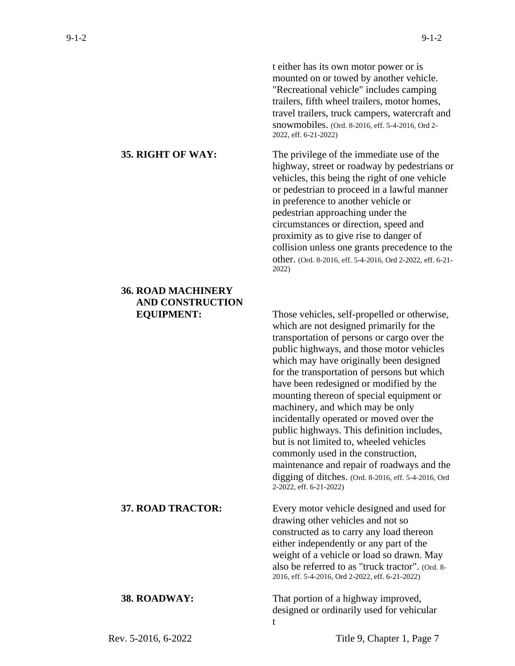t either has its own motor power or is mounted on or towed by another vehicle. "Recreational vehicle" includes camping trailers, fifth wheel trailers, motor homes, travel trailers, truck campers, watercraft and snowmobiles. (Ord. 8-2016, eff. 5-4-2016, Ord 2- 2022, eff. 6-21-2022)

**35. RIGHT OF WAY:** The privilege of the immediate use of the highway, street or roadway by pedestrians or vehicles, this being the right of one vehicle or pedestrian to proceed in a lawful manner in preference to another vehicle or pedestrian approaching under the circumstances or direction, speed and proximity as to give rise to danger of collision unless one grants precedence to the other. (Ord. 8-2016, eff. 5-4-2016, Ord 2-2022, eff. 6-21- 2022)

**EQUIPMENT:** Those vehicles, self-propelled or otherwise, which are not designed primarily for the transportation of persons or cargo over the public highways, and those motor vehicles which may have originally been designed for the transportation of persons but which have been redesigned or modified by the mounting thereon of special equipment or machinery, and which may be only incidentally operated or moved over the public highways. This definition includes, but is not limited to, wheeled vehicles commonly used in the construction, maintenance and repair of roadways and the digging of ditches. (Ord. 8-2016, eff. 5-4-2016, Ord 2-2022, eff. 6-21-2022)

**37. ROAD TRACTOR:** Every motor vehicle designed and used for drawing other vehicles and not so constructed as to carry any load thereon either independently or any part of the weight of a vehicle or load so drawn. May also be referred to as "truck tractor". (Ord. 8- 2016, eff. 5-4-2016, Ord 2-2022, eff. 6-21-2022)

**38. ROADWAY:** That portion of a highway improved, designed or ordinarily used for vehicular t

# **36. ROAD MACHINERY AND CONSTRUCTION**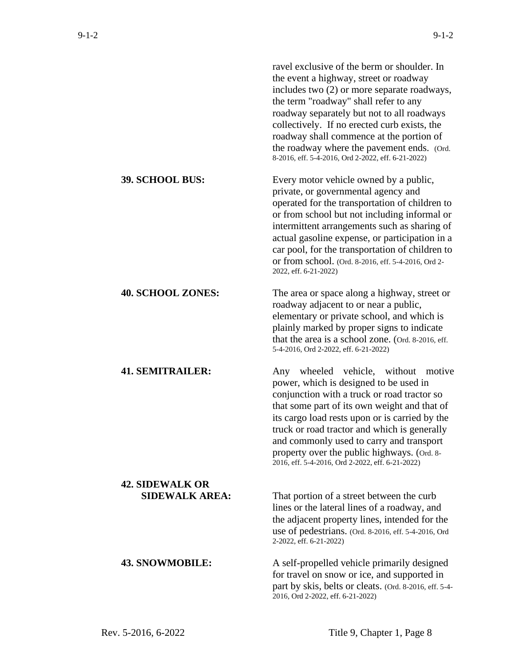|                                                 | ravel exclusive of the berm or shoulder. In<br>the event a highway, street or roadway<br>includes two (2) or more separate roadways,<br>the term "roadway" shall refer to any<br>roadway separately but not to all roadways<br>collectively. If no erected curb exists, the<br>roadway shall commence at the portion of<br>the roadway where the pavement ends. (Ord.<br>8-2016, eff. 5-4-2016, Ord 2-2022, eff. 6-21-2022)      |
|-------------------------------------------------|----------------------------------------------------------------------------------------------------------------------------------------------------------------------------------------------------------------------------------------------------------------------------------------------------------------------------------------------------------------------------------------------------------------------------------|
| <b>39. SCHOOL BUS:</b>                          | Every motor vehicle owned by a public,<br>private, or governmental agency and<br>operated for the transportation of children to<br>or from school but not including informal or<br>intermittent arrangements such as sharing of<br>actual gasoline expense, or participation in a<br>car pool, for the transportation of children to<br>or from school. (Ord. 8-2016, eff. 5-4-2016, Ord 2-<br>2022, eff. 6-21-2022)             |
| <b>40. SCHOOL ZONES:</b>                        | The area or space along a highway, street or<br>roadway adjacent to or near a public,<br>elementary or private school, and which is<br>plainly marked by proper signs to indicate<br>that the area is a school zone. (Ord. 8-2016, eff.<br>5-4-2016, Ord 2-2022, eff. 6-21-2022)                                                                                                                                                 |
| <b>41. SEMITRAILER:</b>                         | Any wheeled vehicle, without<br>motive<br>power, which is designed to be used in<br>conjunction with a truck or road tractor so<br>that some part of its own weight and that of<br>its cargo load rests upon or is carried by the<br>truck or road tractor and which is generally<br>and commonly used to carry and transport<br>property over the public highways. (Ord. 8-<br>2016, eff. 5-4-2016, Ord 2-2022, eff. 6-21-2022) |
| <b>42. SIDEWALK OR</b><br><b>SIDEWALK AREA:</b> | That portion of a street between the curb<br>lines or the lateral lines of a roadway, and<br>the adjacent property lines, intended for the<br>use of pedestrians. (Ord. 8-2016, eff. 5-4-2016, Ord<br>2-2022, eff. 6-21-2022)                                                                                                                                                                                                    |
| <b>43. SNOWMOBILE:</b>                          | A self-propelled vehicle primarily designed<br>for travel on snow or ice, and supported in<br>part by skis, belts or cleats. (Ord. 8-2016, eff. 5-4-<br>2016, Ord 2-2022, eff. 6-21-2022)                                                                                                                                                                                                                                        |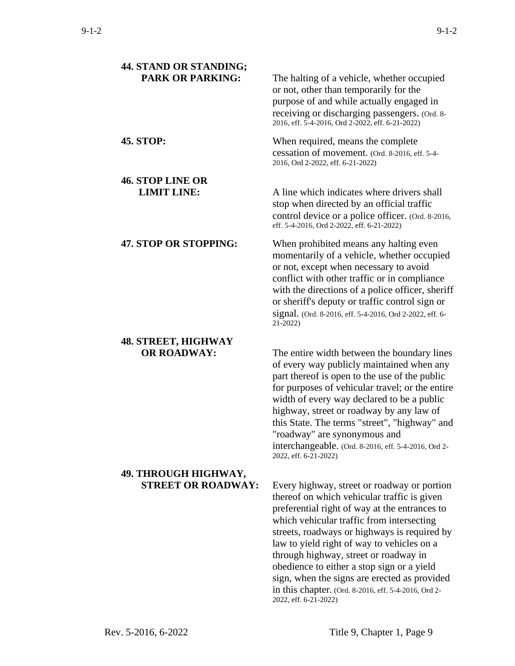| 44. STAND OR STANDING;                            |                                                                                                                                                                                                                                                                                                                                                                                                                                                                                       |
|---------------------------------------------------|---------------------------------------------------------------------------------------------------------------------------------------------------------------------------------------------------------------------------------------------------------------------------------------------------------------------------------------------------------------------------------------------------------------------------------------------------------------------------------------|
| <b>PARK OR PARKING:</b>                           | The halting of a vehicle, whether occupied<br>or not, other than temporarily for the<br>purpose of and while actually engaged in<br>receiving or discharging passengers. (Ord. 8-<br>2016, eff. 5-4-2016, Ord 2-2022, eff. 6-21-2022)                                                                                                                                                                                                                                                 |
| <b>45. STOP:</b>                                  | When required, means the complete<br>cessation of movement. (Ord. 8-2016, eff. 5-4-<br>2016, Ord 2-2022, eff. 6-21-2022)                                                                                                                                                                                                                                                                                                                                                              |
| <b>46. STOP LINE OR</b><br><b>LIMIT LINE:</b>     | A line which indicates where drivers shall<br>stop when directed by an official traffic<br>control device or a police officer. (Ord. 8-2016,                                                                                                                                                                                                                                                                                                                                          |
|                                                   | eff. 5-4-2016, Ord 2-2022, eff. 6-21-2022)                                                                                                                                                                                                                                                                                                                                                                                                                                            |
| 47. STOP OR STOPPING:                             | When prohibited means any halting even<br>momentarily of a vehicle, whether occupied<br>or not, except when necessary to avoid<br>conflict with other traffic or in compliance<br>with the directions of a police officer, sheriff<br>or sheriff's deputy or traffic control sign or<br>signal. (Ord. 8-2016, eff. 5-4-2016, Ord 2-2022, eff. 6-<br>21-2022)                                                                                                                          |
| <b>48. STREET, HIGHWAY</b><br><b>OR ROADWAY:</b>  | The entire width between the boundary lines<br>of every way publicly maintained when any<br>part thereof is open to the use of the public<br>for purposes of vehicular travel; or the entire<br>width of every way declared to be a public<br>highway, street or roadway by any law of<br>this State. The terms "street", "highway" and<br>"roadway" are synonymous and<br>interchangeable. (Ord. 8-2016, eff. 5-4-2016, Ord 2-<br>2022, eff. 6-21-2022)                              |
| 49. THROUGH HIGHWAY,<br><b>STREET OR ROADWAY:</b> | Every highway, street or roadway or portion<br>thereof on which vehicular traffic is given<br>preferential right of way at the entrances to<br>which vehicular traffic from intersecting<br>streets, roadways or highways is required by<br>law to yield right of way to vehicles on a<br>through highway, street or roadway in<br>obedience to either a stop sign or a yield<br>sign, when the signs are erected as provided<br>in this chapter. (Ord. 8-2016, eff. 5-4-2016, Ord 2- |

2022, eff. 6-21-2022)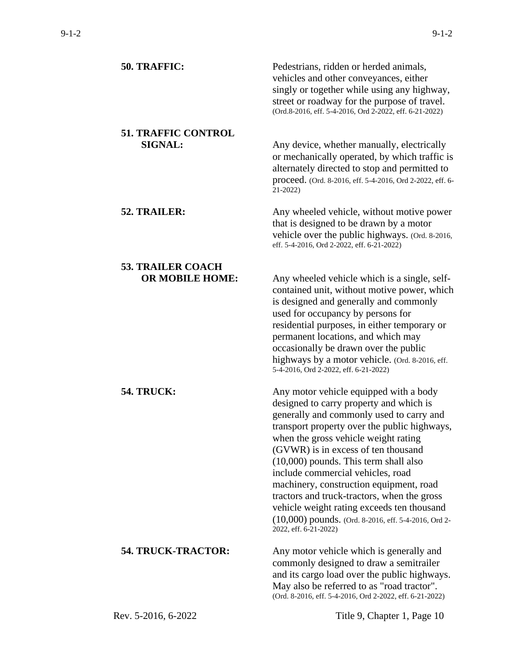| 50. TRAFFIC:                                       | Pedestrians, ridden or herded animals,<br>vehicles and other conveyances, either<br>singly or together while using any highway,<br>street or roadway for the purpose of travel.<br>(Ord.8-2016, eff. 5-4-2016, Ord 2-2022, eff. 6-21-2022)                                                                                                                                                                                                                                                                                                                            |
|----------------------------------------------------|-----------------------------------------------------------------------------------------------------------------------------------------------------------------------------------------------------------------------------------------------------------------------------------------------------------------------------------------------------------------------------------------------------------------------------------------------------------------------------------------------------------------------------------------------------------------------|
| <b>51. TRAFFIC CONTROL</b><br><b>SIGNAL:</b>       | Any device, whether manually, electrically<br>or mechanically operated, by which traffic is<br>alternately directed to stop and permitted to<br>proceed. (Ord. 8-2016, eff. 5-4-2016, Ord 2-2022, eff. 6-<br>$21-2022$                                                                                                                                                                                                                                                                                                                                                |
| 52. TRAILER:                                       | Any wheeled vehicle, without motive power<br>that is designed to be drawn by a motor<br>vehicle over the public highways. (Ord. 8-2016,<br>eff. 5-4-2016, Ord 2-2022, eff. 6-21-2022)                                                                                                                                                                                                                                                                                                                                                                                 |
| <b>53. TRAILER COACH</b><br><b>OR MOBILE HOME:</b> | Any wheeled vehicle which is a single, self-<br>contained unit, without motive power, which<br>is designed and generally and commonly<br>used for occupancy by persons for<br>residential purposes, in either temporary or<br>permanent locations, and which may<br>occasionally be drawn over the public<br>highways by a motor vehicle. (Ord. 8-2016, eff.<br>5-4-2016, Ord 2-2022, eff. 6-21-2022)                                                                                                                                                                 |
| <b>54. TRUCK:</b>                                  | Any motor vehicle equipped with a body<br>designed to carry property and which is<br>generally and commonly used to carry and<br>transport property over the public highways,<br>when the gross vehicle weight rating<br>(GVWR) is in excess of ten thousand<br>$(10,000)$ pounds. This term shall also<br>include commercial vehicles, road<br>machinery, construction equipment, road<br>tractors and truck-tractors, when the gross<br>vehicle weight rating exceeds ten thousand<br>(10,000) pounds. (Ord. 8-2016, eff. 5-4-2016, Ord 2-<br>2022, eff. 6-21-2022) |
| <b>54. TRUCK-TRACTOR:</b>                          | Any motor vehicle which is generally and<br>commonly designed to draw a semitrailer<br>and its cargo load over the public highways.<br>May also be referred to as "road tractor".<br>(Ord. 8-2016, eff. 5-4-2016, Ord 2-2022, eff. 6-21-2022)                                                                                                                                                                                                                                                                                                                         |
| Rev. 5-2016, 6-2022                                | Title 9, Chapter 1, Page 10                                                                                                                                                                                                                                                                                                                                                                                                                                                                                                                                           |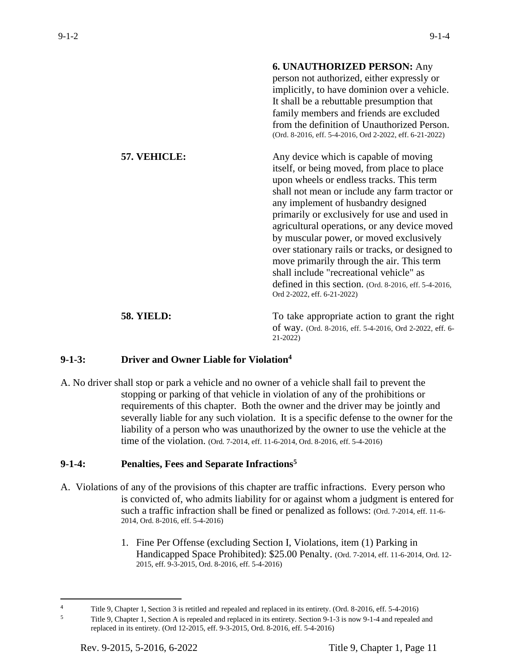|                   | <b>6. UNAUTHORIZED PERSON: Any</b><br>person not authorized, either expressly or<br>implicitly, to have dominion over a vehicle.<br>It shall be a rebuttable presumption that<br>family members and friends are excluded<br>from the definition of Unauthorized Person.<br>(Ord. 8-2016, eff. 5-4-2016, Ord 2-2022, eff. 6-21-2022)                                                                                                                                                                                                                                                                    |
|-------------------|--------------------------------------------------------------------------------------------------------------------------------------------------------------------------------------------------------------------------------------------------------------------------------------------------------------------------------------------------------------------------------------------------------------------------------------------------------------------------------------------------------------------------------------------------------------------------------------------------------|
| 57. VEHICLE:      | Any device which is capable of moving<br>itself, or being moved, from place to place<br>upon wheels or endless tracks. This term<br>shall not mean or include any farm tractor or<br>any implement of husbandry designed<br>primarily or exclusively for use and used in<br>agricultural operations, or any device moved<br>by muscular power, or moved exclusively<br>over stationary rails or tracks, or designed to<br>move primarily through the air. This term<br>shall include "recreational vehicle" as<br>defined in this section. (Ord. 8-2016, eff. 5-4-2016,<br>Ord 2-2022, eff. 6-21-2022) |
| <b>58. YIELD:</b> | To take appropriate action to grant the right<br>of way. (Ord. 8-2016, eff. 5-4-2016, Ord 2-2022, eff. 6-<br>$21-2022$                                                                                                                                                                                                                                                                                                                                                                                                                                                                                 |

### **9-1-3: Driver and Owner Liable for Violation<sup>4</sup>**

A. No driver shall stop or park a vehicle and no owner of a vehicle shall fail to prevent the stopping or parking of that vehicle in violation of any of the prohibitions or requirements of this chapter. Both the owner and the driver may be jointly and severally liable for any such violation. It is a specific defense to the owner for the liability of a person who was unauthorized by the owner to use the vehicle at the time of the violation. (Ord. 7-2014, eff. 11-6-2014, Ord. 8-2016, eff. 5-4-2016)

## **9-1-4: Penalties, Fees and Separate Infractions<sup>5</sup>**

- A. Violations of any of the provisions of this chapter are traffic infractions. Every person who is convicted of, who admits liability for or against whom a judgment is entered for such a traffic infraction shall be fined or penalized as follows: (Ord. 7-2014, eff. 11-6- 2014, Ord. 8-2016, eff. 5-4-2016)
	- 1. Fine Per Offense (excluding Section I, Violations, item (1) Parking in Handicapped Space Prohibited): \$25.00 Penalty. (Ord. 7-2014, eff. 11-6-2014, Ord. 12- 2015, eff. 9-3-2015, Ord. 8-2016, eff. 5-4-2016)

<sup>&</sup>lt;sup>4</sup> Title 9, Chapter 1, Section 3 is retitled and repealed and replaced in its entirety. (Ord. 8-2016, eff. 5-4-2016)

<sup>5</sup> Title 9, Chapter 1, Section A is repealed and replaced in its entirety. Section 9-1-3 is now 9-1-4 and repealed and replaced in its entirety. (Ord 12-2015, eff. 9-3-2015, Ord. 8-2016, eff. 5-4-2016)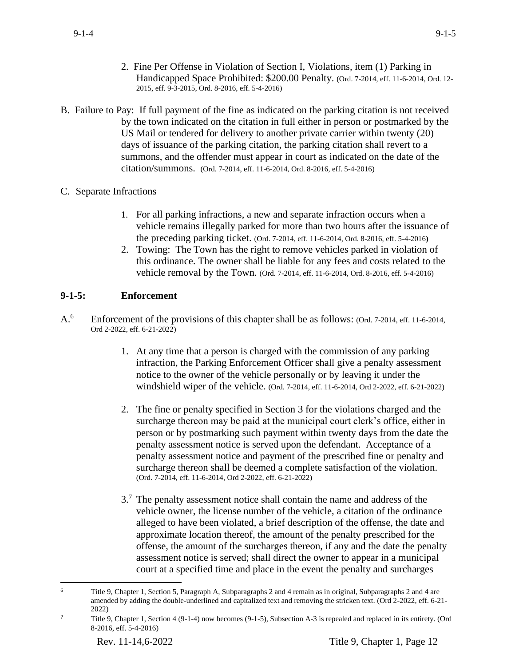- 2. Fine Per Offense in Violation of Section I, Violations, item (1) Parking in Handicapped Space Prohibited: \$200.00 Penalty. (Ord. 7-2014, eff. 11-6-2014, Ord. 12- 2015, eff. 9-3-2015, Ord. 8-2016, eff. 5-4-2016)
- B. Failure to Pay: If full payment of the fine as indicated on the parking citation is not received by the town indicated on the citation in full either in person or postmarked by the US Mail or tendered for delivery to another private carrier within twenty (20) days of issuance of the parking citation, the parking citation shall revert to a summons, and the offender must appear in court as indicated on the date of the citation/summons. (Ord. 7-2014, eff. 11-6-2014, Ord. 8-2016, eff. 5-4-2016)
- C. Separate Infractions
	- 1. For all parking infractions, a new and separate infraction occurs when a vehicle remains illegally parked for more than two hours after the issuance of the preceding parking ticket. (Ord. 7-2014, eff. 11-6-2014, Ord. 8-2016, eff. 5-4-2016**)**
	- 2. Towing: The Town has the right to remove vehicles parked in violation of this ordinance. The owner shall be liable for any fees and costs related to the vehicle removal by the Town. (Ord. 7-2014, eff. 11-6-2014, Ord. 8-2016, eff. 5-4-2016)

# **9-1-5: Enforcement**

- A.<sup>6</sup> Enforcement of the provisions of this chapter shall be as follows: (Ord. 7-2014, eff. 11-6-2014, Ord 2-2022, eff. 6-21-2022)
	- 1. At any time that a person is charged with the commission of any parking infraction, the Parking Enforcement Officer shall give a penalty assessment notice to the owner of the vehicle personally or by leaving it under the windshield wiper of the vehicle. (Ord. 7-2014, eff. 11-6-2014, Ord 2-2022, eff. 6-21-2022)
	- 2. The fine or penalty specified in Section 3 for the violations charged and the surcharge thereon may be paid at the municipal court clerk's office, either in person or by postmarking such payment within twenty days from the date the penalty assessment notice is served upon the defendant. Acceptance of a penalty assessment notice and payment of the prescribed fine or penalty and surcharge thereon shall be deemed a complete satisfaction of the violation. (Ord. 7-2014, eff. 11-6-2014, Ord 2-2022, eff. 6-21-2022)
	- 3.<sup>7</sup> The penalty assessment notice shall contain the name and address of the vehicle owner, the license number of the vehicle, a citation of the ordinance alleged to have been violated, a brief description of the offense, the date and approximate location thereof, the amount of the penalty prescribed for the offense, the amount of the surcharges thereon, if any and the date the penalty assessment notice is served; shall direct the owner to appear in a municipal court at a specified time and place in the event the penalty and surcharges

<sup>6</sup> Title 9, Chapter 1, Section 5, Paragraph A, Subparagraphs 2 and 4 remain as in original, Subparagraphs 2 and 4 are amended by adding the double-underlined and capitalized text and removing the stricken text. (Ord 2-2022, eff. 6-21- 2022)

<sup>7</sup> Title 9, Chapter 1, Section 4 (9-1-4) now becomes (9-1-5), Subsection A-3 is repealed and replaced in its entirety. (Ord 8-2016, eff. 5-4-2016)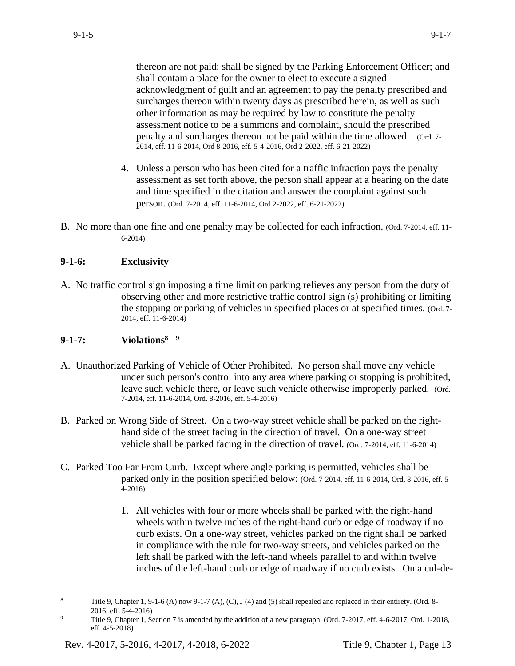thereon are not paid; shall be signed by the Parking Enforcement Officer; and shall contain a place for the owner to elect to execute a signed acknowledgment of guilt and an agreement to pay the penalty prescribed and surcharges thereon within twenty days as prescribed herein, as well as such other information as may be required by law to constitute the penalty assessment notice to be a summons and complaint, should the prescribed penalty and surcharges thereon not be paid within the time allowed. (Ord. 7- 2014, eff. 11-6-2014, Ord 8-2016, eff. 5-4-2016, Ord 2-2022, eff. 6-21-2022)

- 4. Unless a person who has been cited for a traffic infraction pays the penalty assessment as set forth above, the person shall appear at a hearing on the date and time specified in the citation and answer the complaint against such person. (Ord. 7-2014, eff. 11-6-2014, Ord 2-2022, eff. 6-21-2022)
- B. No more than one fine and one penalty may be collected for each infraction. (Ord. 7-2014, eff. 11- 6-2014)

# **9-1-6: Exclusivity**

A. No traffic control sign imposing a time limit on parking relieves any person from the duty of observing other and more restrictive traffic control sign (s) prohibiting or limiting the stopping or parking of vehicles in specified places or at specified times. (Ord. 7- 2014, eff. 11-6-2014)

# **9-1-7: Violations<sup>8</sup> 9**

- A. Unauthorized Parking of Vehicle of Other Prohibited. No person shall move any vehicle under such person's control into any area where parking or stopping is prohibited, leave such vehicle there, or leave such vehicle otherwise improperly parked. (Ord. 7-2014, eff. 11-6-2014, Ord. 8-2016, eff. 5-4-2016)
- B. Parked on Wrong Side of Street. On a two-way street vehicle shall be parked on the righthand side of the street facing in the direction of travel. On a one-way street vehicle shall be parked facing in the direction of travel. (Ord. 7-2014, eff. 11-6-2014)
- C. Parked Too Far From Curb. Except where angle parking is permitted, vehicles shall be parked only in the position specified below: (Ord. 7-2014, eff. 11-6-2014, Ord. 8-2016, eff. 5- 4-2016)
	- 1. All vehicles with four or more wheels shall be parked with the right-hand wheels within twelve inches of the right-hand curb or edge of roadway if no curb exists. On a one-way street, vehicles parked on the right shall be parked in compliance with the rule for two-way streets, and vehicles parked on the left shall be parked with the left-hand wheels parallel to and within twelve inches of the left-hand curb or edge of roadway if no curb exists. On a cul-de-

<sup>&</sup>lt;sup>8</sup> Title 9, Chapter 1, 9-1-6 (A) now 9-1-7 (A), (C), J (4) and (5) shall repealed and replaced in their entirety. (Ord. 8-2016, eff. 5-4-2016)

<sup>9</sup> Title 9, Chapter 1, Section 7 is amended by the addition of a new paragraph. (Ord. 7-2017, eff. 4-6-2017, Ord. 1-2018, eff. 4-5-2018)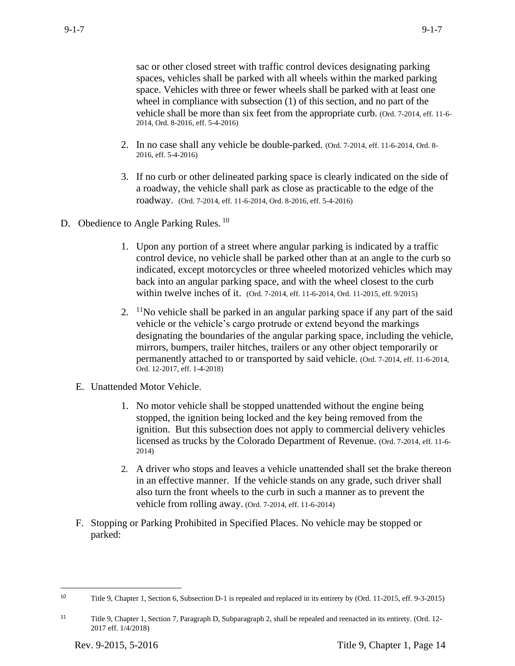sac or other closed street with traffic control devices designating parking spaces, vehicles shall be parked with all wheels within the marked parking space. Vehicles with three or fewer wheels shall be parked with at least one wheel in compliance with subsection (1) of this section, and no part of the vehicle shall be more than six feet from the appropriate curb. (Ord. 7-2014, eff. 11-6- 2014, Ord. 8-2016, eff. 5-4-2016)

- 2. In no case shall any vehicle be double-parked. (Ord. 7-2014, eff. 11-6-2014, Ord. 8- 2016, eff. 5-4-2016)
- 3. If no curb or other delineated parking space is clearly indicated on the side of a roadway, the vehicle shall park as close as practicable to the edge of the roadway. (Ord. 7-2014, eff. 11-6-2014, Ord. 8-2016, eff. 5-4-2016)
- D. Obedience to Angle Parking Rules.<sup>10</sup>
	- 1. Upon any portion of a street where angular parking is indicated by a traffic control device, no vehicle shall be parked other than at an angle to the curb so indicated, except motorcycles or three wheeled motorized vehicles which may back into an angular parking space, and with the wheel closest to the curb within twelve inches of it. (Ord. 7-2014, eff. 11-6-2014, Ord. 11-2015, eff. 9/2015)
	- 2.  $11$ No vehicle shall be parked in an angular parking space if any part of the said vehicle or the vehicle's cargo protrude or extend beyond the markings designating the boundaries of the angular parking space, including the vehicle, mirrors, bumpers, trailer hitches, trailers or any other object temporarily or permanently attached to or transported by said vehicle. (Ord. 7-2014, eff. 11-6-2014, Ord. 12-2017, eff. 1-4-2018)
	- E. Unattended Motor Vehicle.
		- 1. No motor vehicle shall be stopped unattended without the engine being stopped, the ignition being locked and the key being removed from the ignition. But this subsection does not apply to commercial delivery vehicles licensed as trucks by the Colorado Department of Revenue. (Ord. 7-2014, eff. 11-6- 2014)
		- 2. A driver who stops and leaves a vehicle unattended shall set the brake thereon in an effective manner. If the vehicle stands on any grade, such driver shall also turn the front wheels to the curb in such a manner as to prevent the vehicle from rolling away. (Ord. 7-2014, eff. 11-6-2014)
	- F. Stopping or Parking Prohibited in Specified Places. No vehicle may be stopped or parked:

<sup>10</sup> Title 9, Chapter 1, Section 6, Subsection D-1 is repealed and replaced in its entirety by (Ord. 11-2015, eff. 9-3-2015)

<sup>11</sup> Title 9, Chapter 1, Section 7, Paragraph D, Subparagraph 2, shall be repealed and reenacted in its entirety. (Ord. 12- 2017 eff. 1/4/2018)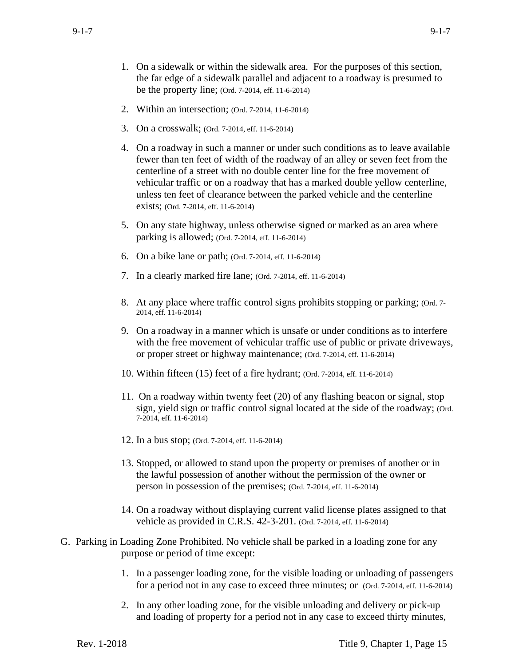- 1. On a sidewalk or within the sidewalk area. For the purposes of this section, the far edge of a sidewalk parallel and adjacent to a roadway is presumed to be the property line; (Ord. 7-2014, eff. 11-6-2014)
- 2. Within an intersection; (Ord. 7-2014, 11-6-2014)
- 3. On a crosswalk; (Ord. 7-2014, eff. 11-6-2014)
- 4. On a roadway in such a manner or under such conditions as to leave available fewer than ten feet of width of the roadway of an alley or seven feet from the centerline of a street with no double center line for the free movement of vehicular traffic or on a roadway that has a marked double yellow centerline, unless ten feet of clearance between the parked vehicle and the centerline exists; (Ord. 7-2014, eff. 11-6-2014)
- 5. On any state highway, unless otherwise signed or marked as an area where parking is allowed; (Ord. 7-2014, eff. 11-6-2014)
- 6. On a bike lane or path; (Ord. 7-2014, eff. 11-6-2014)
- 7. In a clearly marked fire lane; (Ord. 7-2014, eff. 11-6-2014)
- 8. At any place where traffic control signs prohibits stopping or parking; (Ord. 7- 2014, eff. 11-6-2014)
- 9. On a roadway in a manner which is unsafe or under conditions as to interfere with the free movement of vehicular traffic use of public or private driveways, or proper street or highway maintenance; (Ord. 7-2014, eff. 11-6-2014)
- 10. Within fifteen (15) feet of a fire hydrant; (Ord. 7-2014, eff. 11-6-2014)
- 11. On a roadway within twenty feet (20) of any flashing beacon or signal, stop sign, yield sign or traffic control signal located at the side of the roadway; (Ord. 7-2014, eff. 11-6-2014)
- 12. In a bus stop; (Ord. 7-2014, eff. 11-6-2014)
- 13. Stopped, or allowed to stand upon the property or premises of another or in the lawful possession of another without the permission of the owner or person in possession of the premises; (Ord. 7-2014, eff. 11-6-2014)
- 14. On a roadway without displaying current valid license plates assigned to that vehicle as provided in C.R.S. 42-3-201. (Ord. 7-2014, eff. 11-6-2014)
- G. Parking in Loading Zone Prohibited. No vehicle shall be parked in a loading zone for any purpose or period of time except:
	- 1. In a passenger loading zone, for the visible loading or unloading of passengers for a period not in any case to exceed three minutes; or (Ord. 7-2014, eff. 11-6-2014)
	- 2. In any other loading zone, for the visible unloading and delivery or pick-up and loading of property for a period not in any case to exceed thirty minutes,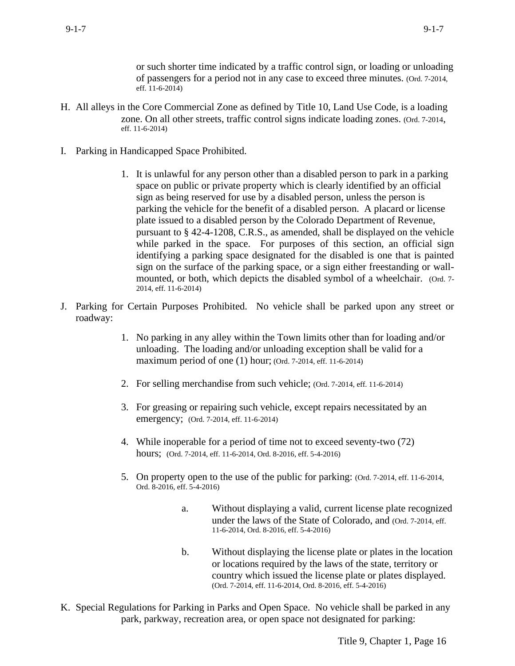or such shorter time indicated by a traffic control sign, or loading or unloading of passengers for a period not in any case to exceed three minutes. (Ord. 7-2014, eff. 11-6-2014)

- H. All alleys in the Core Commercial Zone as defined by Title 10, Land Use Code, is a loading zone. On all other streets, traffic control signs indicate loading zones. (Ord. 7-2014, eff. 11-6-2014)
- I. Parking in Handicapped Space Prohibited.
	- 1. It is unlawful for any person other than a disabled person to park in a parking space on public or private property which is clearly identified by an official sign as being reserved for use by a disabled person, unless the person is parking the vehicle for the benefit of a disabled person. A placard or license plate issued to a disabled person by the Colorado Department of Revenue, pursuant to § 42-4-1208, C.R.S., as amended, shall be displayed on the vehicle while parked in the space. For purposes of this section, an official sign identifying a parking space designated for the disabled is one that is painted sign on the surface of the parking space, or a sign either freestanding or wallmounted, or both, which depicts the disabled symbol of a wheelchair. (Ord. 7-2014, eff. 11-6-2014)
- J. Parking for Certain Purposes Prohibited. No vehicle shall be parked upon any street or roadway:
	- 1. No parking in any alley within the Town limits other than for loading and/or unloading. The loading and/or unloading exception shall be valid for a maximum period of one (1) hour; (Ord. 7-2014, eff. 11-6-2014)
	- 2. For selling merchandise from such vehicle; (Ord. 7-2014, eff. 11-6-2014)
	- 3. For greasing or repairing such vehicle, except repairs necessitated by an emergency; (Ord. 7-2014, eff. 11-6-2014)
	- 4. While inoperable for a period of time not to exceed seventy-two (72) hours; (Ord. 7-2014, eff. 11-6-2014, Ord. 8-2016, eff. 5-4-2016)
	- 5. On property open to the use of the public for parking: (Ord. 7-2014, eff. 11-6-2014, Ord. 8-2016, eff. 5-4-2016)
		- a. Without displaying a valid, current license plate recognized under the laws of the State of Colorado, and (Ord. 7-2014, eff. 11-6-2014, Ord. 8-2016, eff. 5-4-2016)
		- b. Without displaying the license plate or plates in the location or locations required by the laws of the state, territory or country which issued the license plate or plates displayed. (Ord. 7-2014, eff. 11-6-2014, Ord. 8-2016, eff. 5-4-2016)
- K. Special Regulations for Parking in Parks and Open Space. No vehicle shall be parked in any park, parkway, recreation area, or open space not designated for parking: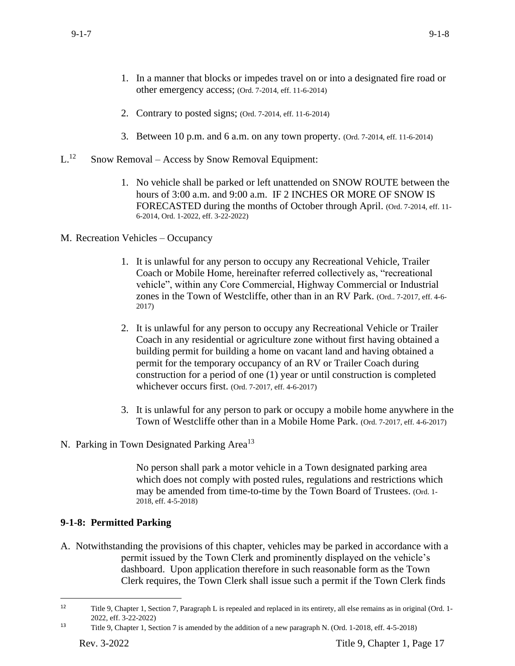- 1. In a manner that blocks or impedes travel on or into a designated fire road or other emergency access; (Ord. 7-2014, eff. 11-6-2014)
- 2. Contrary to posted signs; (Ord. 7-2014, eff. 11-6-2014)
- 3. Between 10 p.m. and 6 a.m. on any town property. (Ord. 7-2014, eff. 11-6-2014)
- $L^{12}$ Snow Removal – Access by Snow Removal Equipment:
	- 1. No vehicle shall be parked or left unattended on SNOW ROUTE between the hours of 3:00 a.m. and 9:00 a.m. IF 2 INCHES OR MORE OF SNOW IS FORECASTED during the months of October through April. (Ord. 7-2014, eff. 11- 6-2014, Ord. 1-2022, eff. 3-22-2022)
- M. Recreation Vehicles Occupancy
	- 1. It is unlawful for any person to occupy any Recreational Vehicle, Trailer Coach or Mobile Home, hereinafter referred collectively as, "recreational vehicle", within any Core Commercial, Highway Commercial or Industrial zones in the Town of Westcliffe, other than in an RV Park. (Ord.. 7-2017, eff. 4-6- 2017)
	- 2. It is unlawful for any person to occupy any Recreational Vehicle or Trailer Coach in any residential or agriculture zone without first having obtained a building permit for building a home on vacant land and having obtained a permit for the temporary occupancy of an RV or Trailer Coach during construction for a period of one (1) year or until construction is completed whichever occurs first. (Ord. 7-2017, eff. 4-6-2017)
	- 3. It is unlawful for any person to park or occupy a mobile home anywhere in the Town of Westcliffe other than in a Mobile Home Park. (Ord. 7-2017, eff. 4-6-2017)
- N. Parking in Town Designated Parking Area<sup>13</sup>

No person shall park a motor vehicle in a Town designated parking area which does not comply with posted rules, regulations and restrictions which may be amended from time-to-time by the Town Board of Trustees. (Ord. 1- 2018, eff. 4-5-2018)

# **9-1-8: Permitted Parking**

A. Notwithstanding the provisions of this chapter, vehicles may be parked in accordance with a permit issued by the Town Clerk and prominently displayed on the vehicle's dashboard. Upon application therefore in such reasonable form as the Town Clerk requires, the Town Clerk shall issue such a permit if the Town Clerk finds

<sup>12</sup> Title 9, Chapter 1, Section 7, Paragraph L is repealed and replaced in its entirety, all else remains as in original (Ord. 1- 2022, eff. 3-22-2022)

<sup>13</sup> Title 9, Chapter 1, Section 7 is amended by the addition of a new paragraph N. (Ord. 1-2018, eff. 4-5-2018)